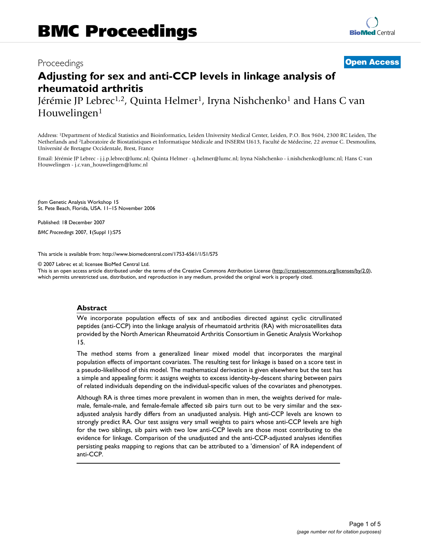# **Adjusting for sex and anti-CCP levels in linkage analysis of rheumatoid arthritis**

Jérémie JP Lebrec<sup>1,2</sup>, Quinta Helmer<sup>1</sup>, Iryna Nishchenko<sup>1</sup> and Hans C van Houwelingen<sup>1</sup>

Address: 1Department of Medical Statistics and Bioinformatics, Leiden University Medical Center, Leiden, P.O. Box 9604, 2300 RC Leiden, The Netherlands and 2Laboratoire de Biostatistiques et Informatique Médicale and INSERM U613, Faculté de Médecine, 22 avenue C. Desmoulins, Université de Bretagne Occidentale, Brest, France

Email: Jérémie JP Lebrec - j.j.p.lebrec@lumc.nl; Quinta Helmer - q.helmer@lumc.nl; Iryna Nishchenko - i.nishchenko@lumc.nl; Hans C van Houwelingen - j.c.van\_houwelingen@lumc.nl

*from* Genetic Analysis Workshop 15 St. Pete Beach, Florida, USA. 11–15 November 2006

Published: 18 December 2007

*BMC Proceedings* 2007, **1**(Suppl 1):S75

[This article is available from: http://www.biomedcentral.com/1753-6561/1/S1/S75](http://www.biomedcentral.com/1753-6561/1/S1/S75)

© 2007 Lebrec et al; licensee BioMed Central Ltd.

This is an open access article distributed under the terms of the Creative Commons Attribution License [\(http://creativecommons.org/licenses/by/2.0\)](http://creativecommons.org/licenses/by/2.0), which permits unrestricted use, distribution, and reproduction in any medium, provided the original work is properly cited.

# **Abstract**

We incorporate population effects of sex and antibodies directed against cyclic citrullinated peptides (anti-CCP) into the linkage analysis of rheumatoid arthritis (RA) with microsatellites data provided by the North American Rheumatoid Arthritis Consortium in Genetic Analysis Workshop 15.

The method stems from a generalized linear mixed model that incorporates the marginal population effects of important covariates. The resulting test for linkage is based on a score test in a pseudo-likelihood of this model. The mathematical derivation is given elsewhere but the test has a simple and appealing form: it assigns weights to excess identity-by-descent sharing between pairs of related individuals depending on the individual-specific values of the covariates and phenotypes.

Although RA is three times more prevalent in women than in men, the weights derived for malemale, female-male, and female-female affected sib pairs turn out to be very similar and the sexadjusted analysis hardly differs from an unadjusted analysis. High anti-CCP levels are known to strongly predict RA. Our test assigns very small weights to pairs whose anti-CCP levels are high for the two siblings, sib pairs with two low anti-CCP levels are those most contributing to the evidence for linkage. Comparison of the unadjusted and the anti-CCP-adjusted analyses identifies persisting peaks mapping to regions that can be attributed to a 'dimension' of RA independent of anti-CCP.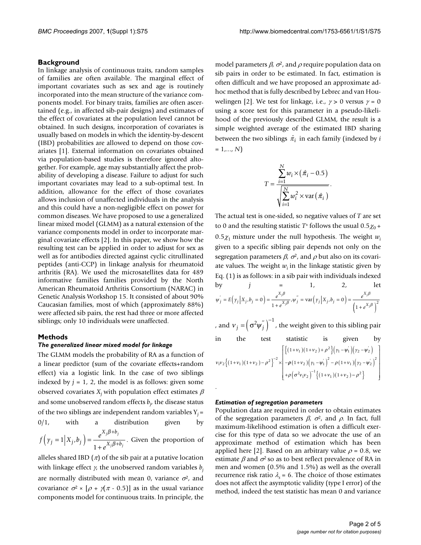## **Background**

In linkage analysis of continuous traits, random samples of families are often available. The marginal effect of important covariates such as sex and age is routinely incorporated into the mean structure of the variance components model. For binary traits, families are often ascertained (e.g., in affected sib-pair designs) and estimates of the effect of covariates at the population level cannot be obtained. In such designs, incorporation of covariates is usually based on models in which the identity-by-descent (IBD) probabilities are allowed to depend on those covariates [1]. External information on covariates obtained via population-based studies is therefore ignored altogether. For example, age may substantially affect the probability of developing a disease. Failure to adjust for such important covariates may lead to a sub-optimal test. In addition, allowance for the effect of those covariates allows inclusion of unaffected individuals in the analysis and this could have a non-negligible effect on power for common diseases. We have proposed to use a generalized linear mixed model (GLMM) as a natural extension of the variance components model in order to incorporate marginal covariate effects [2]. In this paper, we show how the resulting test can be applied in order to adjust for sex as well as for antibodies directed against cyclic citrullinated peptides (anti-CCP) in linkage analysis for rheumatoid arthritis (RA). We used the microsatellites data for 489 informative families families provided by the North American Rheumatoid Arthritis Consortium (NARAC) in Genetic Analysis Workshop 15. It consisted of about 90% Caucasian families, most of which (approximately 88%) were affected sib pairs, the rest had three or more affected siblings; only 10 individuals were unaffected.

# **Methods**

## *The generalized linear mixed model for linkage*

The GLMM models the probability of RA as a function of a linear predictor (sum of the covariate effects+random effect) via a logistic link. In the case of two siblings indexed by  $j = 1$ , 2, the model is as follows: given some observed covariates  $X_i$  with population effect estimates  $\beta$ and some unobserved random effects *bj* , the disease status of the two siblings are independent random variables  $Y_i =$  $0/1$ , with a distribution given by  $f(y_i=1|X_i,b_i) = \frac{e^{A_i\beta^{i}+b_i}}{x^{i}+b_i}$ . Given the proportion of  $j = 1 | \Lambda_j, v_j | = \frac{1}{1 + e}$  $X_i\beta + b$  $X_i\beta + b$  $(y_j = 1 | X_j, b_j) = \frac{e^{X_j \beta + b_j}}{1 + e^{X_j \beta + b_j}}$ +  $1 \Big| X_j, b_j \Big| = \frac{c}{1 + e^{X_j \beta + 1}}$ , β β

alleles shared IBD  $(\pi)$  of the sib pair at a putative location with linkage effect γ, the unobserved random variables *bj* are normally distributed with mean 0, variance  $\sigma^2$ , and covariance  $\sigma^2 \times [\rho + \gamma(\pi - 0.5)]$  as in the usual variance components model for continuous traits. In principle, the

model parameters  $\beta$ ,  $\sigma^2$ , and  $\rho$  require population data on sib pairs in order to be estimated. In fact, estimation is often difficult and we have proposed an approximate adhoc method that is fully described by Lebrec and van Houwelingen [2]. We test for linkage, i.e.,  $\gamma > 0$  versus  $\gamma = 0$ using a score test for this parameter in a pseudo-likelihood of the previously described GLMM, the result is a simple weighted average of the estimated IBD sharing between the two siblings  $\hat{\pi}_i$  in each family (indexed by *i*  $= 1,..., N$ 

$$
T = \frac{\sum_{i=1}^{N} w_i \times (\hat{\pi}_i - 0.5)}{\sqrt{\sum_{i=1}^{N} w_i^2 \times \text{var}(\hat{\pi}_i)}}.
$$

The actual test is one-sided, so negative values of *T* are set to 0 and the resulting statistic  $T^*$  follows the usual  $0.5\chi_0 +$  $0.5\chi_1$  mixture under the null hypothesis. The weight  $w_i$ given to a specific sibling pair depends not only on the segregation parameters  $\beta$ ,  $\sigma^2$ , and  $\rho$  but also on its covariate values. The weight  $w_i$  in the linkage statistic given by Eq. (1) is as follows: in a sib pair with individuals indexed by *j* = 1, 2, let  $\Psi_i = E[Y_i | X_i, \theta_i = 0] = \frac{\mathcal{U}_i}{V_i \theta_i}$ β β β  $\mathcal{L}_{ij} = E[Y_j | \Delta_j, \theta_j = 0] = \frac{1}{1 + e^{X_j \beta}}, \psi_j = \text{Var}(Y_j | \Delta_j, \theta_j = 0) = \frac{1}{1 + e^{X_j \beta}}$ *X*  $\overline{X_i \beta}$ ,  $\psi_j$  = val  $\left(\gamma_j | \Lambda_j, \theta_j\right)$ *X*  $E(y_j | X_j, b_j = 0) = \frac{e^{X_j p}}{1 + e^{X_j \beta}}, \psi_j'' = \text{var}(y_j | X_j, b_j = 0) = \frac{e^{X_j p}}{1 + e^{X_j \beta}}$ *e*  $y_i | X_i, b_i = 0 = \frac{e}{\sqrt{2\pi}}$ *e j j j*  $y'_{j} = E(y_{j} | X_{j}, b_{j} = 0) = \frac{e^{y_{j}}}{1 + e^{X_{j}\beta}}, \psi''_{j} = \text{var}(y_{j} | X_{j}, b_{j} = 0) = \frac{e^{y_{j}}}{1 + e^{X_{j}}}$ + 0 1 0 1 ,  $( 1 + e^{-\gamma t})$ 2

, and  $v_j = \left(\sigma^2 w_j^{v_i}\right)^{-1}$ , the weight given to this sibling pair

in the test statistic is given by  $\left[ \left\{ (1 + v_1)(1 + v_2) + \rho^2 \right\} (v_1 - v_1) (v_2 - v_2) \right]$ 

$$
v_1v_2\{(1+v_1)(1+v_2)-\rho^2\}^{-2}\times\left[-\rho(1+v_2)\left(v_1-\psi_1\right)^2-\rho(1+v_1)\left(v_2-\psi_2\right)^2+\rho\left(\sigma^2v_1v_2\right)^{-1}\{(1+v_1)(1+v_2)-\rho^2\}\right]
$$

### *Estimation of segregation parameters*

.

Population data are required in order to obtain estimates of the segregation parameters  $\beta$ ,  $\sigma^2$ , and  $\rho$ . In fact, full maximum-likelihood estimation is often a difficult exercise for this type of data so we advocate the use of an approximate method of estimation which has been applied here [2]. Based on an arbitrary value  $\rho = 0.8$ , we estimate  $\beta$  and  $\sigma^2$  so as to best reflect prevalence of RA in men and women (0.5% and 1.5%) as well as the overall recurrence risk ratio  $\lambda_s = 6$ . The choice of those estimates does not affect the asymptotic validity (type I error) of the method, indeed the test statistic has mean 0 and variance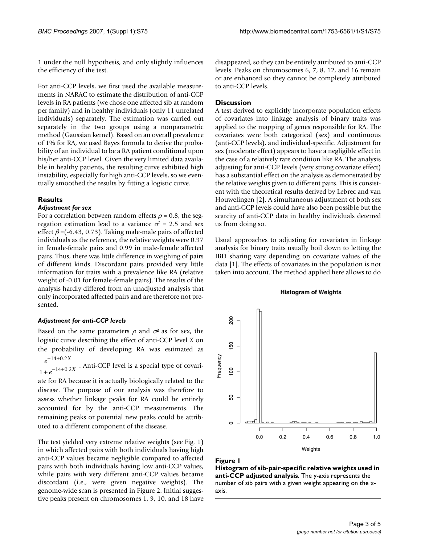1 under the null hypothesis, and only slightly influences the efficiency of the test.

For anti-CCP levels, we first used the available measurements in NARAC to estimate the distribution of anti-CCP levels in RA patients (we chose one affected sib at random per family) and in healthy individuals (only 11 unrelated individuals) separately. The estimation was carried out separately in the two groups using a nonparametric method (Gaussian kernel). Based on an overall prevalence of 1% for RA, we used Bayes formula to derive the probability of an individual to be a RA patient conditional upon his/her anti-CCP level. Given the very limited data available in healthy patients, the resulting curve exhibited high instability, especially for high anti-CCP levels, so we eventually smoothed the results by fitting a logistic curve.

# **Results**

## *Adjustment for sex*

For a correlation between random effects  $\rho = 0.8$ , the segregation estimation lead to a variance  $\sigma^2$  = 2.5 and sex effect  $\beta$  =(-6.43, 0.73). Taking male-male pairs of affected individuals as the reference, the relative weights were 0.97 in female-female pairs and 0.99 in male-female affected pairs. Thus, there was little difference in weighing of pairs of different kinds. Discordant pairs provided very little information for traits with a prevalence like RA (relative weight of -0.01 for female-female pairs). The results of the analysis hardly differed from an unadjusted analysis that only incorporated affected pairs and are therefore not presented.

# *Adjustment for anti-CCP levels*

Based on the same parameters  $\rho$  and  $\sigma^2$  as for sex, the logistic curve describing the effect of anti-CCP level *X* on the probability of developing RA was estimated as  $-14 + 0.2X$ 

 $e^{-14+0.2\lambda}$ . Anti-CCP level is a special type of covari- $1 + e^{-14 + 0.2X}$ 

ate for RA because it is actually biologically related to the disease. The purpose of our analysis was therefore to assess whether linkage peaks for RA could be entirely accounted for by the anti-CCP measurements. The remaining peaks or potential new peaks could be attributed to a different component of the disease.

The test yielded very extreme relative weights (see Fig. 1) in which affected pairs with both individuals having high anti-CCP values became negligible compared to affected pairs with both individuals having low anti-CCP values, while pairs with very different anti-CCP values became discordant (i.e., were given negative weights). The genome-wide scan is presented in Figure 2. Initial suggestive peaks present on chromosomes 1, 9, 10, and 18 have disappeared, so they can be entirely attributed to anti-CCP levels. Peaks on chromosomes 6, 7, 8, 12, and 16 remain or are enhanced so they cannot be completely attributed to anti-CCP levels.

# **Discussion**

A test derived to explicitly incorporate population effects of covariates into linkage analysis of binary traits was applied to the mapping of genes responsible for RA. The covariates were both categorical (sex) and continuous (anti-CCP levels), and individual-specific. Adjustment for sex (moderate effect) appears to have a negligible effect in the case of a relatively rare condition like RA. The analysis adjusting for anti-CCP levels (very strong covariate effect) has a substantial effect on the analysis as demonstrated by the relative weights given to different pairs. This is consistent with the theoretical results derived by Lebrec and van Houwelingen [2]. A simultaneous adjustment of both sex and anti-CCP levels could have also been possible but the scarcity of anti-CCP data in healthy individuals deterred us from doing so.

Usual approaches to adjusting for covariates in linkage analysis for binary traits usually boil down to letting the IBD sharing vary depending on covariate values of the data [1]. The effects of covariates in the population is not taken into account. The method applied here allows to do

#### **Histogram of Weights**



#### Figure 1

**Histogram of sib-pair-specific relative weights used in anti-CCP adjusted analysis**. The y-axis represents the number of sib pairs with a given weight appearing on the xaxis.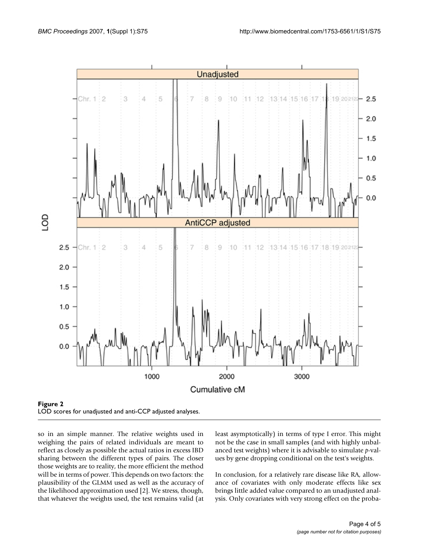

so in an simple manner. The relative weights used in weighing the pairs of related individuals are meant to reflect as closely as possible the actual ratios in excess IBD sharing between the different types of pairs. The closer those weights are to reality, the more efficient the method will be in terms of power. This depends on two factors: the plausibility of the GLMM used as well as the accuracy of the likelihood approximation used [2]. We stress, though, that whatever the weights used, the test remains valid (at least asymptotically) in terms of type I error. This might not be the case in small samples (and with highly unbalanced test weights) where it is advisable to simulate *p*-values by gene dropping conditional on the test's weights.

In conclusion, for a relatively rare disease like RA, allowance of covariates with only moderate effects like sex brings little added value compared to an unadjusted analysis. Only covariates with very strong effect on the proba-